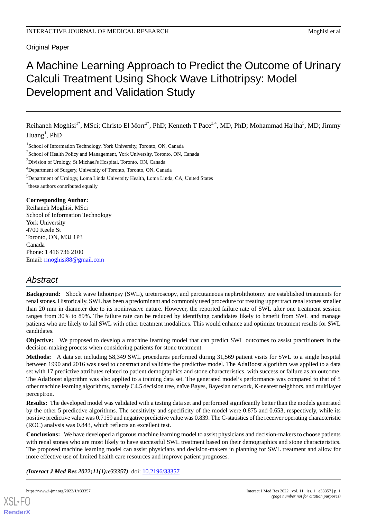Original Paper

# A Machine Learning Approach to Predict the Outcome of Urinary Calculi Treatment Using Shock Wave Lithotripsy: Model Development and Validation Study

Reihaneh Moghisi<sup>1\*</sup>, MSci; Christo El Morr<sup>2\*</sup>, PhD; Kenneth T Pace<sup>3,4</sup>, MD, PhD; Mohammad Hajiha<sup>5</sup>, MD; Jimmy  $Huang<sup>1</sup>$ , PhD

1 School of Information Technology, York University, Toronto, ON, Canada

<sup>2</sup>School of Health Policy and Management, York University, Toronto, ON, Canada

<sup>3</sup>Division of Urology, St Michael's Hospital, Toronto, ON, Canada

<sup>4</sup>Department of Surgery, University of Toronto, Toronto, ON, Canada

<sup>5</sup>Department of Urology, Loma Linda University Health, Loma Linda, CA, United States

\* these authors contributed equally

#### **Corresponding Author:**

Reihaneh Moghisi, MSci School of Information Technology York University 4700 Keele St Toronto, ON, M3J 1P3 Canada Phone: 1 416 736 2100 Email: [rmoghisi88@gmail.com](mailto:rmoghisi88@gmail.com)

## *Abstract*

**Background:** Shock wave lithotripsy (SWL), ureteroscopy, and percutaneous nephrolithotomy are established treatments for renal stones. Historically, SWL has been a predominant and commonly used procedure for treating upper tract renal stones smaller than 20 mm in diameter due to its noninvasive nature. However, the reported failure rate of SWL after one treatment session ranges from 30% to 89%. The failure rate can be reduced by identifying candidates likely to benefit from SWL and manage patients who are likely to fail SWL with other treatment modalities. This would enhance and optimize treatment results for SWL candidates.

**Objective:** We proposed to develop a machine learning model that can predict SWL outcomes to assist practitioners in the decision-making process when considering patients for stone treatment.

**Methods:** A data set including 58,349 SWL procedures performed during 31,569 patient visits for SWL to a single hospital between 1990 and 2016 was used to construct and validate the predictive model. The AdaBoost algorithm was applied to a data set with 17 predictive attributes related to patient demographics and stone characteristics, with success or failure as an outcome. The AdaBoost algorithm was also applied to a training data set. The generated model's performance was compared to that of 5 other machine learning algorithms, namely C4.5 decision tree, naïve Bayes, Bayesian network, K-nearest neighbors, and multilayer perceptron.

**Results:** The developed model was validated with a testing data set and performed significantly better than the models generated by the other 5 predictive algorithms. The sensitivity and specificity of the model were 0.875 and 0.653, respectively, while its positive predictive value was 0.7159 and negative predictive value was 0.839. The C-statistics of the receiver operating characteristic (ROC) analysis was 0.843, which reflects an excellent test.

**Conclusions:** We have developed a rigorous machine learning model to assist physicians and decision-makers to choose patients with renal stones who are most likely to have successful SWL treatment based on their demographics and stone characteristics. The proposed machine learning model can assist physicians and decision-makers in planning for SWL treatment and allow for more effective use of limited health care resources and improve patient prognoses.

*(Interact J Med Res 2022;11(1):e33357)* doi:  $10.2196/33357$ 

[XSL](http://www.w3.org/Style/XSL)•FO **[RenderX](http://www.renderx.com/)**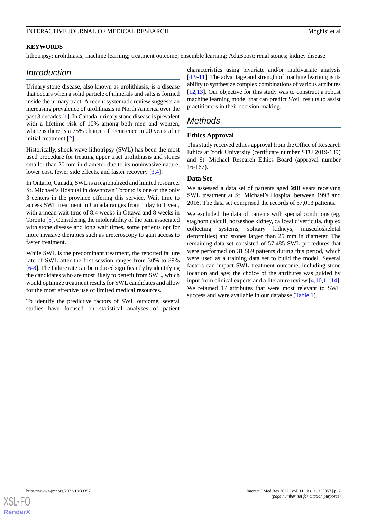#### INTERACTIVE JOURNAL OF MEDICAL RESEARCH **EXAMPLE 1999** Moghisi et al.

#### **KEYWORDS**

lithotripsy; urolithiasis; machine learning; treatment outcome; ensemble learning; AdaBoost; renal stones; kidney disease

## *Introduction*

Urinary stone disease, also known as urolithiasis, is a disease that occurs when a solid particle of minerals and salts is formed inside the urinary tract. A recent systematic review suggests an increasing prevalence of urolithiasis in North America over the past 3 decades [\[1](#page-4-0)]. In Canada, urinary stone disease is prevalent with a lifetime risk of 10% among both men and women, whereas there is a 75% chance of recurrence in 20 years after initial treatment [[2\]](#page-4-1).

Historically, shock wave lithotripsy (SWL) has been the most used procedure for treating upper tract urolithiasis and stones smaller than 20 mm in diameter due to its noninvasive nature, lower cost, fewer side effects, and faster recovery [[3,](#page-4-2)[4](#page-4-3)].

In Ontario, Canada, SWL is a regionalized and limited resource. St. Michael's Hospital in downtown Toronto is one of the only 3 centers in the province offering this service. Wait time to access SWL treatment in Canada ranges from 1 day to 1 year, with a mean wait time of 8.4 weeks in Ottawa and 8 weeks in Toronto [[5\]](#page-4-4). Considering the intolerability of the pain associated with stone disease and long wait times, some patients opt for more invasive therapies such as ureteroscopy to gain access to faster treatment.

While SWL is the predominant treatment, the reported failure rate of SWL after the first session ranges from 30% to 89% [[6-](#page-4-5)[8\]](#page-5-0). The failure rate can be reduced significantly by identifying the candidates who are most likely to benefit from SWL, which would optimize treatment results for SWL candidates and allow for the most effective use of limited medical resources.

To identify the predictive factors of SWL outcome, several studies have focused on statistical analyses of patient characteristics using bivariate and/or multivariate analysis [[4](#page-4-3)[,9-](#page-5-1)[11\]](#page-5-2). The advantage and strength of machine learning is its ability to synthesize complex combinations of various attributes [[12,](#page-5-3)[13\]](#page-5-4). Our objective for this study was to construct a robust machine learning model that can predict SWL results to assist practitioners in their decision-making.

## *Methods*

#### **Ethics Approval**

This study received ethics approval from the Office of Research Ethics at York University (certificate number STU 2019-139) and St. Michael Research Ethics Board (approval number 16-167).

#### **Data Set**

We assessed a data set of patients aged ≥18 years receiving SWL treatment at St. Michael's Hospital between 1998 and 2016. The data set comprised the records of 37,013 patients.

We excluded the data of patients with special conditions (eg, staghorn calculi, horseshoe kidney, caliceal diverticula, duplex collecting systems, solitary kidneys, musculoskeletal deformities) and stones larger than 25 mm in diameter. The remaining data set consisted of 57,485 SWL procedures that were performed on 31,569 patients during this period, which were used as a training data set to build the model. Several factors can impact SWL treatment outcome, including stone location and age; the choice of the attributes was guided by input from clinical experts and a literature review [\[4](#page-4-3),[10](#page-5-5)[,11](#page-5-2),[14\]](#page-5-6). We retained 17 attributes that were most relevant to SWL success and were available in our database ([Table 1\)](#page-2-0).

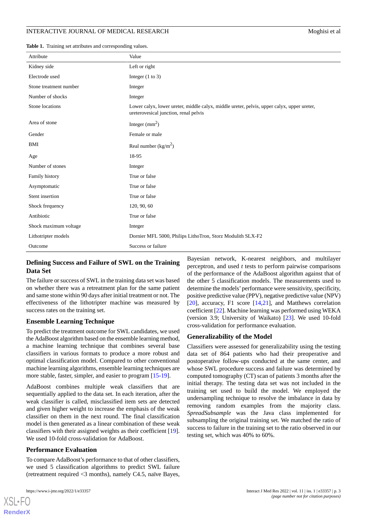#### INTERACTIVE JOURNAL OF MEDICAL RESEARCH **EXAMPLE 2008** Moghisi et al.

<span id="page-2-0"></span>**Table 1.** Training set attributes and corresponding values.

| Attribute              | Value                                                                                                                               |
|------------------------|-------------------------------------------------------------------------------------------------------------------------------------|
| Kidney side            | Left or right                                                                                                                       |
| Electrode used         | Integer $(1 \text{ to } 3)$                                                                                                         |
| Stone treatment number | Integer                                                                                                                             |
| Number of shocks       | Integer                                                                                                                             |
| Stone locations        | Lower calyx, lower ureter, middle calyx, middle ureter, pelvis, upper calyx, upper ureter,<br>ureterovesical junction, renal pelvis |
| Area of stone          | Integer $\text{(mm}^2)$                                                                                                             |
| Gender                 | Female or male                                                                                                                      |
| BMI                    | Real number $\frac{\text{kg}}{m^2}$                                                                                                 |
| Age                    | 18-95                                                                                                                               |
| Number of stones       | Integer                                                                                                                             |
| Family history         | True or false                                                                                                                       |
| Asymptomatic           | True or false                                                                                                                       |
| Stent insertion        | True or false                                                                                                                       |
| Shock frequency        | 120, 90, 60                                                                                                                         |
| Antibiotic             | True or false                                                                                                                       |
| Shock maximum voltage  | Integer                                                                                                                             |
| Lithotripter models    | Dornier MFL 5000, Philips LithoTron, Storz Modulith SLX-F2                                                                          |
| Outcome                | Success or failure                                                                                                                  |

### **Defining Success and Failure of SWL on the Training Data Set**

The failure or success of SWL in the training data set was based on whether there was a retreatment plan for the same patient and same stone within 90 days after initial treatment or not. The effectiveness of the lithotripter machine was measured by success rates on the training set.

#### **Ensemble Learning Technique**

To predict the treatment outcome for SWL candidates, we used the AdaBoost algorithm based on the ensemble learning method, a machine learning technique that combines several base classifiers in various formats to produce a more robust and optimal classification model. Compared to other conventional machine learning algorithms, ensemble learning techniques are more stable, faster, simpler, and easier to program [[15](#page-5-7)[-19](#page-5-8)].

AdaBoost combines multiple weak classifiers that are sequentially applied to the data set. In each iteration, after the weak classifier is called, misclassified item sets are detected and given higher weight to increase the emphasis of the weak classifier on them in the next round. The final classification model is then generated as a linear combination of these weak classifiers with their assigned weights as their coefficient [[19\]](#page-5-8). We used 10-fold cross-validation for AdaBoost.

#### **Performance Evaluation**

To compare AdaBoost's performance to that of other classifiers, we used 5 classification algorithms to predict SWL failure (retreatment required <3 months), namely C4.5, naïve Bayes,

[XSL](http://www.w3.org/Style/XSL)•FO **[RenderX](http://www.renderx.com/)**

Bayesian network, K-nearest neighbors, and multilayer perceptron, and used *t* tests to perform pairwise comparisons of the performance of the AdaBoost algorithm against that of the other 5 classification models. The measurements used to determine the models'performance were sensitivity, specificity, positive predictive value (PPV), negative predictive value (NPV) [[20\]](#page-5-9), accuracy, F1 score [[14,](#page-5-6)[21](#page-5-10)], and Matthews correlation coefficient [[22\]](#page-5-11). Machine learning was performed using WEKA (version 3.9; University of Waikato) [\[23](#page-5-12)]. We used 10-fold cross-validation for performance evaluation.

#### **Generalizability of the Model**

Classifiers were assessed for generalizability using the testing data set of 864 patients who had their preoperative and postoperative follow-ups conducted at the same center, and whose SWL procedure success and failure was determined by computed tomography (CT) scan of patients 3 months after the initial therapy. The testing data set was not included in the training set used to build the model. We employed the undersampling technique to resolve the imbalance in data by removing random examples from the majority class. *SpreadSubsample* was the Java class implemented for subsampling the original training set. We matched the ratio of success to failure in the training set to the ratio observed in our testing set, which was 40% to 60%.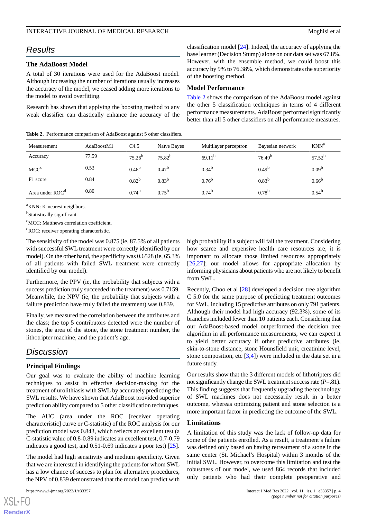#### INTERACTIVE JOURNAL OF MEDICAL RESEARCH **EXAMPLE 1999** Moghisi et al.

## *Results*

#### **The AdaBoost Model**

A total of 30 iterations were used for the AdaBoost model. Although increasing the number of iterations usually increases the accuracy of the model, we ceased adding more iterations to the model to avoid overfitting.

Research has shown that applying the boosting method to any weak classifier can drastically enhance the accuracy of the

<span id="page-3-0"></span>**Table 2.** Performance comparison of AdaBoost against 5 other classifiers.

classification model [\[24](#page-5-13)]. Indeed, the accuracy of applying the base learner (Decision Stump) alone on our data set was 67.8%. However, with the ensemble method, we could boost this accuracy by 9% to 76.38%, which demonstrates the superiority of the boosting method.

#### **Model Performance**

[Table 2](#page-3-0) shows the comparison of the AdaBoost model against the other 5 classification techniques in terms of 4 different performance measurements. AdaBoost performed significantly better than all 5 other classifiers on all performance measures.

| Measurement                 | AdaBoostM1 | C4.5        | Naïve Bayes | Multilayer perceptron | Bayesian network   | $KNN^a$           |
|-----------------------------|------------|-------------|-------------|-----------------------|--------------------|-------------------|
| Accuracy                    | 77.59      | $75.26^{b}$ | $75.82^{b}$ | $69.11^{b}$           | 76.49 <sup>b</sup> | $57.52^{b}$       |
| MCC <sup>c</sup>            | 0.53       | $0.46^{b}$  | $0.47^{b}$  | $0.34^{b}$            | $0.49^{b}$         | 0.09 <sup>b</sup> |
| F1 score                    | 0.84       | $0.82^{b}$  | $0.83^{b}$  | $0.76^{b}$            | $0.83^{b}$         | $0.66^{b}$        |
| Area under ROC <sup>d</sup> | 0.80       | $0.74^{b}$  | $0.75^{b}$  | $0.74^{b}$            | $0.78^{b}$         | $0.54^{b}$        |

<sup>a</sup>KNN: K-nearest neighbors.

<sup>b</sup>Statistically significant.

<sup>c</sup>MCC: Matthews correlation coefficient.

<sup>d</sup>ROC: receiver operating characteristic.

The sensitivity of the model was 0.875 (ie, 87.5% of all patients with successful SWL treatment were correctly identified by our model). On the other hand, the specificity was 0.6528 (ie, 65.3% of all patients with failed SWL treatment were correctly identified by our model).

Furthermore, the PPV (ie, the probability that subjects with a success prediction truly succeeded in the treatment) was 0.7159. Meanwhile, the NPV (ie, the probability that subjects with a failure prediction have truly failed the treatment) was 0.839.

Finally, we measured the correlation between the attributes and the class; the top 5 contributors detected were the number of stones, the area of the stone, the stone treatment number, the lithotripter machine, and the patient's age.

## *Discussion*

#### **Principal Findings**

Our goal was to evaluate the ability of machine learning techniques to assist in effective decision-making for the treatment of urolithiasis with SWL by accurately predicting the SWL results. We have shown that AdaBoost provided superior prediction ability compared to 5 other classification techniques.

The AUC (area under the ROC [receiver operating characteristic] curve or C-statistic) of the ROC analysis for our prediction model was 0.843, which reflects an excellent test (a C-statistic value of 0.8-0.89 indicates an excellent test, 0.7-0.79 indicates a good test, and 0.51-0.69 indicates a poor test) [[25\]](#page-5-14).

The model had high sensitivity and medium specificity. Given that we are interested in identifying the patients for whom SWL has a low chance of success to plan for alternative procedures, the NPV of 0.839 demonstrated that the model can predict with

 $XS$  $\cdot$ FC **[RenderX](http://www.renderx.com/)** high probability if a subject will fail the treatment. Considering how scarce and expensive health care resources are, it is important to allocate those limited resources appropriately [[26,](#page-5-15)[27\]](#page-5-16); our model allows for appropriate allocation by informing physicians about patients who are not likely to benefit from SWL.

Recently, Choo et al [\[28](#page-5-17)] developed a decision tree algorithm C 5.0 for the same purpose of predicting treatment outcomes for SWL, including 15 predictive attributes on only 791 patients. Although their model had high accuracy (92.3%), some of its branches included fewer than 10 patients each. Considering that our AdaBoost-based model outperformed the decision tree algorithm in all performance measurements, we can expect it to yield better accuracy if other predictive attributes (ie, skin-to-stone distance, stone Hounsfield unit, creatinine level, stone composition, etc  $[3,4]$  $[3,4]$  $[3,4]$ ) were included in the data set in a future study.

Our results show that the 3 different models of lithotripters did not significantly change the SWL treatment success rate (*P*=.81). This finding suggests that frequently upgrading the technology of SWL machines does not necessarily result in a better outcome, whereas optimizing patient and stone selection is a more important factor in predicting the outcome of the SWL.

#### **Limitations**

A limitation of this study was the lack of follow-up data for some of the patients enrolled. As a result, a treatment's failure was defined only based on having retreatment of a stone in the same center (St. Michael's Hospital) within 3 months of the initial SWL. However, to overcome this limitation and test the robustness of our model, we used 864 records that included only patients who had their complete preoperative and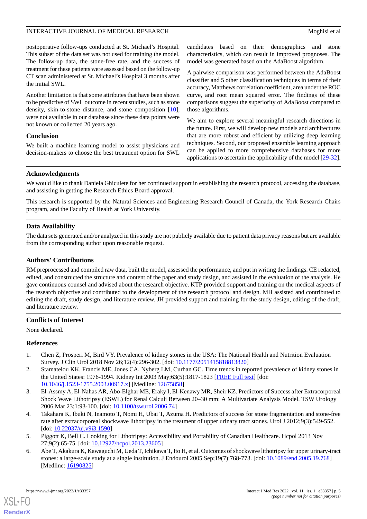#### INTERACTIVE JOURNAL OF MEDICAL RESEARCH **EXAMPLE 1999** Moghisi et al.

postoperative follow-ups conducted at St. Michael's Hospital. This subset of the data set was not used for training the model. The follow-up data, the stone-free rate, and the success of treatment for these patients were assessed based on the follow-up CT scan administered at St. Michael's Hospital 3 months after the initial SWL.

Another limitation is that some attributes that have been shown to be predictive of SWL outcome in recent studies, such as stone density, skin-to-stone distance, and stone composition [[10\]](#page-5-5), were not available in our database since these data points were not known or collected 20 years ago.

#### **Conclusion**

We built a machine learning model to assist physicians and decision-makers to choose the best treatment option for SWL candidates based on their demographics and stone characteristics, which can result in improved prognoses. The model was generated based on the AdaBoost algorithm.

A pairwise comparison was performed between the AdaBoost classifier and 5 other classification techniques in terms of their accuracy, Matthews correlation coefficient, area under the ROC curve, and root mean squared error. The findings of these comparisons suggest the superiority of AdaBoost compared to those algorithms.

We aim to explore several meaningful research directions in the future. First, we will develop new models and architectures that are more robust and efficient by utilizing deep learning techniques. Second, our proposed ensemble learning approach can be applied to more comprehensive databases for more applications to ascertain the applicability of the model [[29-](#page-5-18)[32\]](#page-6-0).

#### **Acknowledgments**

We would like to thank Daniela Ghiculete for her continued support in establishing the research protocol, accessing the database, and assisting in getting the Research Ethics Board approval.

This research is supported by the Natural Sciences and Engineering Research Council of Canada, the York Research Chairs program, and the Faculty of Health at York University.

## **Data Availability**

The data sets generated and/or analyzed in this study are not publicly available due to patient data privacy reasons but are available from the corresponding author upon reasonable request.

#### **Authors' Contributions**

RM preprocessed and compiled raw data, built the model, assessed the performance, and put in writing the findings. CE redacted, edited, and constructed the structure and content of the paper and study design, and assisted in the evaluation of the analysis. He gave continuous counsel and advised about the research objective. KTP provided support and training on the medical aspects of the research objective and contributed to the development of the research protocol and design. MH assisted and contributed to editing the draft, study design, and literature review. JH provided support and training for the study design, editing of the draft, and literature review.

## <span id="page-4-0"></span>**Conflicts of Interest**

<span id="page-4-1"></span>None declared.

#### **References**

- <span id="page-4-2"></span>1. Chen Z, Prosperi M, Bird VY. Prevalence of kidney stones in the USA: The National Health and Nutrition Evaluation Survey. J Clin Urol 2018 Nov 26;12(4):296-302. [doi: [10.1177/2051415818813820](http://dx.doi.org/10.1177/2051415818813820)]
- <span id="page-4-3"></span>2. Stamatelou KK, Francis ME, Jones CA, Nyberg LM, Curhan GC. Time trends in reported prevalence of kidney stones in the United States: 1976-1994. Kidney Int 2003 May;63(5):1817-1823 [\[FREE Full text\]](https://linkinghub.elsevier.com/retrieve/pii/S0085-2538(15)49072-6) [doi: [10.1046/j.1523-1755.2003.00917.x\]](http://dx.doi.org/10.1046/j.1523-1755.2003.00917.x) [Medline: [12675858\]](http://www.ncbi.nlm.nih.gov/entrez/query.fcgi?cmd=Retrieve&db=PubMed&list_uids=12675858&dopt=Abstract)
- <span id="page-4-4"></span>3. El-Assmy A, El-Nahas AR, Abo-Elghar ME, Eraky I, El-Kenawy MR, Sheir KZ. Predictors of Success after Extracorporeal Shock Wave Lithotripsy (ESWL) for Renal Calculi Between 20–30 mm: A Multivariate Analysis Model. TSW Urology 2006 Mar 23;1:93-100. [doi: [10.1100/tswurol.2006.74\]](http://dx.doi.org/10.1100/tswurol.2006.74)
- <span id="page-4-5"></span>4. Takahara K, Ibuki N, Inamoto T, Nomi H, Ubai T, Azuma H. Predictors of success for stone fragmentation and stone-free rate after extracorporeal shockwave lithotripsy in the treatment of upper urinary tract stones. Urol J 2012;9(3):549-552. [doi: [10.22037/uj.v9i3.1590\]](http://dx.doi.org/10.22037/uj.v9i3.1590)
- 5. Piggott K, Bell C. Looking for Lithotripsy: Accessibility and Portability of Canadian Healthcare. Hcpol 2013 Nov 27;9(2):65-75. [doi: [10.12927/hcpol.2013.23605\]](http://dx.doi.org/10.12927/hcpol.2013.23605)
- 6. Abe T, Akakura K, Kawaguchi M, Ueda T, Ichikawa T, Ito H, et al. Outcomes of shockwave lithotripsy for upper urinary-tract stones: a large-scale study at a single institution. J Endourol 2005 Sep;19(7):768-773. [doi: [10.1089/end.2005.19.768\]](http://dx.doi.org/10.1089/end.2005.19.768) [Medline: [16190825](http://www.ncbi.nlm.nih.gov/entrez/query.fcgi?cmd=Retrieve&db=PubMed&list_uids=16190825&dopt=Abstract)]

[XSL](http://www.w3.org/Style/XSL)•FO **[RenderX](http://www.renderx.com/)**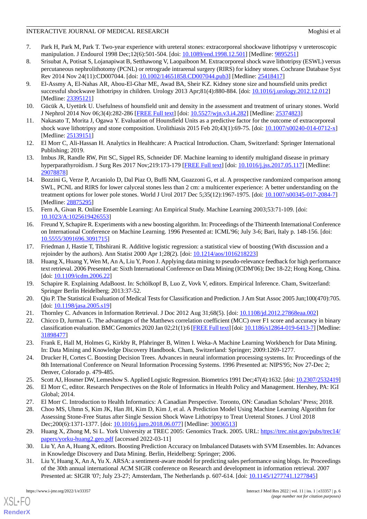## INTERACTIVE JOURNAL OF MEDICAL RESEARCH **EXAMPLE 18** Moghisi et al.

- 7. Park H, Park M, Park T. Two-year experience with ureteral stones: extracorporeal shockwave lithotripsy v ureteroscopic manipulation. J Endourol 1998 Dec;12(6):501-504. [doi: [10.1089/end.1998.12.501](http://dx.doi.org/10.1089/end.1998.12.501)] [Medline: [9895251\]](http://www.ncbi.nlm.nih.gov/entrez/query.fcgi?cmd=Retrieve&db=PubMed&list_uids=9895251&dopt=Abstract)
- <span id="page-5-0"></span>8. Srisubat A, Potisat S, Lojanapiwat B, Setthawong V, Laopaiboon M. Extracorporeal shock wave lithotripsy (ESWL) versus percutaneous nephrolithotomy (PCNL) or retrograde intrarenal surgery (RIRS) for kidney stones. Cochrane Database Syst Rev 2014 Nov 24(11):CD007044. [doi: [10.1002/14651858.CD007044.pub3\]](http://dx.doi.org/10.1002/14651858.CD007044.pub3) [Medline: [25418417\]](http://www.ncbi.nlm.nih.gov/entrez/query.fcgi?cmd=Retrieve&db=PubMed&list_uids=25418417&dopt=Abstract)
- <span id="page-5-1"></span>9. El-Assmy A, El-Nahas AR, Abou-El-Ghar ME, Awad BA, Sheir KZ. Kidney stone size and hounsfield units predict successful shockwave lithotripsy in children. Urology 2013 Apr;81(4):880-884. [doi: [10.1016/j.urology.2012.12.012\]](http://dx.doi.org/10.1016/j.urology.2012.12.012) [Medline: [23395121](http://www.ncbi.nlm.nih.gov/entrez/query.fcgi?cmd=Retrieve&db=PubMed&list_uids=23395121&dopt=Abstract)]
- <span id="page-5-5"></span><span id="page-5-2"></span>10. Gücük A, Uyetürk U. Usefulness of hounsfield unit and density in the assessment and treatment of urinary stones. World J Nephrol 2014 Nov 06;3(4):282-286 [[FREE Full text](https://www.wjgnet.com/2220-6124/full/v3/i4/282.htm)] [doi: [10.5527/wjn.v3.i4.282\]](http://dx.doi.org/10.5527/wjn.v3.i4.282) [Medline: [25374823\]](http://www.ncbi.nlm.nih.gov/entrez/query.fcgi?cmd=Retrieve&db=PubMed&list_uids=25374823&dopt=Abstract)
- <span id="page-5-3"></span>11. Nakasato T, Morita J, Ogawa Y. Evaluation of Hounsfield Units as a predictive factor for the outcome of extracorporeal shock wave lithotripsy and stone composition. Urolithiasis 2015 Feb 20;43(1):69-75. [doi: [10.1007/s00240-014-0712-x](http://dx.doi.org/10.1007/s00240-014-0712-x)] [Medline: [25139151](http://www.ncbi.nlm.nih.gov/entrez/query.fcgi?cmd=Retrieve&db=PubMed&list_uids=25139151&dopt=Abstract)]
- <span id="page-5-4"></span>12. El Morr C, Ali-Hassan H. Analytics in Healthcare: A Practical Introduction. Cham, Switzerland: Springer International Publishing; 2019.
- <span id="page-5-6"></span>13. Imbus JR, Randle RW, Pitt SC, Sippel RS, Schneider DF. Machine learning to identify multigland disease in primary hyperparathyroidism. J Surg Res 2017 Nov;219:173-179 [\[FREE Full text\]](http://europepmc.org/abstract/MED/29078878) [doi: [10.1016/j.jss.2017.05.117](http://dx.doi.org/10.1016/j.jss.2017.05.117)] [Medline: [29078878](http://www.ncbi.nlm.nih.gov/entrez/query.fcgi?cmd=Retrieve&db=PubMed&list_uids=29078878&dopt=Abstract)]
- <span id="page-5-7"></span>14. Bozzini G, Verze P, Arcaniolo D, Dal Piaz O, Buffi NM, Guazzoni G, et al. A prospective randomized comparison among SWL, PCNL and RIRS for lower calyceal stones less than 2 cm: a multicenter experience: A better understanding on the treatment options for lower pole stones. World J Urol 2017 Dec 5;35(12):1967-1975. [doi: [10.1007/s00345-017-2084-7](http://dx.doi.org/10.1007/s00345-017-2084-7)] [Medline: [28875295](http://www.ncbi.nlm.nih.gov/entrez/query.fcgi?cmd=Retrieve&db=PubMed&list_uids=28875295&dopt=Abstract)]
- 15. Fern A, Givan R. Online Ensemble Learning: An Empirical Study. Machine Learning 2003;53:71-109. [doi: [10.1023/A:1025619426553\]](http://dx.doi.org/10.1023/A:1025619426553)
- 16. Freund Y, Schapire R. Experiments with a new boosting algorithm. In: Proceedings of the Thirteenth International Conference on International Conference on Machine Learning. 1996 Presented at: ICML'96; July 3-6; Bari, Italy p. 148-156. [doi: [10.5555/3091696.3091715](http://dx.doi.org/10.5555/3091696.3091715)]
- 17. Friedman J, Hastie T, Tibshirani R. Additive logistic regression: a statistical view of boosting (With discussion and a rejoinder by the authors). Ann Statist 2000 Apr 1;28(2). [doi: [10.1214/aos/1016218223](http://dx.doi.org/10.1214/aos/1016218223)]
- <span id="page-5-9"></span><span id="page-5-8"></span>18. Huang X, Huang Y, Wen M, An A, Liu Y, Poon J. Applying data mining to pseudo-relevance feedback for high performance text retrieval. 2006 Presented at: Sixth International Conference on Data Mining (ICDM'06); Dec 18-22; Hong Kong, China. [doi: [10.1109/icdm.2006.22](http://dx.doi.org/10.1109/icdm.2006.22)]
- <span id="page-5-11"></span><span id="page-5-10"></span>19. Schapire R. Explaining AdaBoost. In: Schölkopf B, Luo Z, Vovk V, editors. Empirical Inference. Cham, Switzerland: Springer Berlin Heidelberg; 2013:37-52.
- 20. Qiu P. The Statistical Evaluation of Medical Tests for Classification and Prediction. J Am Stat Assoc 2005 Jun;100(470):705. [doi: [10.1198/jasa.2005.s19\]](http://dx.doi.org/10.1198/jasa.2005.s19)
- <span id="page-5-12"></span>21. Thornley C. Advances in Information Retrieval. J Doc 2012 Aug 31;68(5). [doi: [10.1108/jd.2012.27868eaa.002](http://dx.doi.org/10.1108/jd.2012.27868eaa.002)]
- <span id="page-5-13"></span>22. Chicco D, Jurman G. The advantages of the Matthews correlation coefficient (MCC) over F1 score and accuracy in binary classification evaluation. BMC Genomics 2020 Jan 02;21(1):6 [\[FREE Full text](https://bmcgenomics.biomedcentral.com/articles/10.1186/s12864-019-6413-7)] [doi: [10.1186/s12864-019-6413-7\]](http://dx.doi.org/10.1186/s12864-019-6413-7) [Medline: [31898477](http://www.ncbi.nlm.nih.gov/entrez/query.fcgi?cmd=Retrieve&db=PubMed&list_uids=31898477&dopt=Abstract)]
- <span id="page-5-15"></span><span id="page-5-14"></span>23. Frank E, Hall M, Holmes G, Kirkby R, Pfahringer B, Witten I. Weka-A Machine Learning Workbench for Data Mining. In: Data Mining and Knowledge Discovery Handbook. Cham, Switzerland: Springer; 2009:1269-1277.
- <span id="page-5-16"></span>24. Drucker H, Cortes C. Boosting Decision Trees. Advances in neural information processing systems. In: Proceedings of the 8th International Conference on Neural Information Processing Systems. 1996 Presented at: NIPS'95; Nov 27-Dec 2; Denver, Colorado p. 479-485.
- <span id="page-5-17"></span>25. Scott AJ, Hosmer DW, Lemeshow S. Applied Logistic Regression. Biometrics 1991 Dec;47(4):1632. [doi: [10.2307/2532419](http://dx.doi.org/10.2307/2532419)]
- <span id="page-5-18"></span>26. El Morr C, editor. Research Perspectives on the Role of Informatics in Health Policy and Management. Hershey, PA: IGI Global; 2014.
- 27. El Morr C. Introduction to Health Informatics: A Canadian Perspective. Toronto, ON: Canadian Scholars'Press; 2018.
- 28. Choo MS, Uhmn S, Kim JK, Han JH, Kim D, Kim J, et al. A Prediction Model Using Machine Learning Algorithm for Assessing Stone-Free Status after Single Session Shock Wave Lithotripsy to Treat Ureteral Stones. J Urol 2018 Dec;200(6):1371-1377. [doi: [10.1016/j.juro.2018.06.077\]](http://dx.doi.org/10.1016/j.juro.2018.06.077) [Medline: [30036513\]](http://www.ncbi.nlm.nih.gov/entrez/query.fcgi?cmd=Retrieve&db=PubMed&list_uids=30036513&dopt=Abstract)
- 29. Huang X, Zhong M, Si L. York University at TREC 2005: Genomics Track. 2005. URL: [https://trec.nist.gov/pubs/trec14/](https://trec.nist.gov/pubs/trec14/papers/yorku-huang2.geo.pdf) [papers/yorku-huang2.geo.pdf](https://trec.nist.gov/pubs/trec14/papers/yorku-huang2.geo.pdf) [accessed 2022-03-11]
- 30. Liu Y, An A, Huang X, editors. Boosting Prediction Accuracy on Imbalanced Datasets with SVM Ensembles. In: Advances in Knowledge Discovery and Data Mining. Berlin, Heidelberg: Springer; 2006.
- 31. Liu Y, Huang X, An A, Yu X. ARSA: a sentiment-aware model for predicting sales performance using blogs. In: Proceedings of the 30th annual international ACM SIGIR conference on Research and development in information retrieval. 2007 Presented at: SIGIR '07; July 23-27; Amsterdam, The Netherlands p. 607-614. [doi: [10.1145/1277741.1277845\]](http://dx.doi.org/10.1145/1277741.1277845)

[XSL](http://www.w3.org/Style/XSL)•FO **[RenderX](http://www.renderx.com/)**